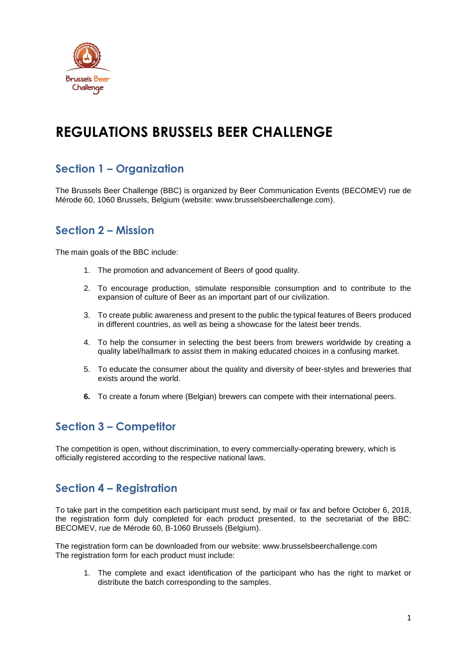

# **REGULATIONS BRUSSELS BEER CHALLENGE**

# **Section 1 – Organization**

The Brussels Beer Challenge (BBC) is organized by Beer Communication Events (BECOMEV) rue de Mérode 60, 1060 Brussels, Belgium (website: www.brusselsbeerchallenge.com).

# **Section 2 – Mission**

The main goals of the BBC include:

- 1. The promotion and advancement of Beers of good quality.
- 2. To encourage production, stimulate responsible consumption and to contribute to the expansion of culture of Beer as an important part of our civilization.
- 3. To create public awareness and present to the public the typical features of Beers produced in different countries, as well as being a showcase for the latest beer trends.
- 4. To help the consumer in selecting the best beers from brewers worldwide by creating a quality label/hallmark to assist them in making educated choices in a confusing market.
- 5. To educate the consumer about the quality and diversity of beer-styles and breweries that exists around the world.
- **6.** To create a forum where (Belgian) brewers can compete with their international peers.

# **Section 3 – Competitor**

The competition is open, without discrimination, to every commercially-operating brewery, which is officially registered according to the respective national laws.

# **Section 4 – Registration**

To take part in the competition each participant must send, by mail or fax and before October 6, 2018, the registration form duly completed for each product presented, to the secretariat of the BBC: BECOMEV, rue de Mérode 60, B-1060 Brussels (Belgium).

The registration form can be downloaded from our website: www.brusselsbeerchallenge.com The registration form for each product must include:

1. The complete and exact identification of the participant who has the right to market or distribute the batch corresponding to the samples.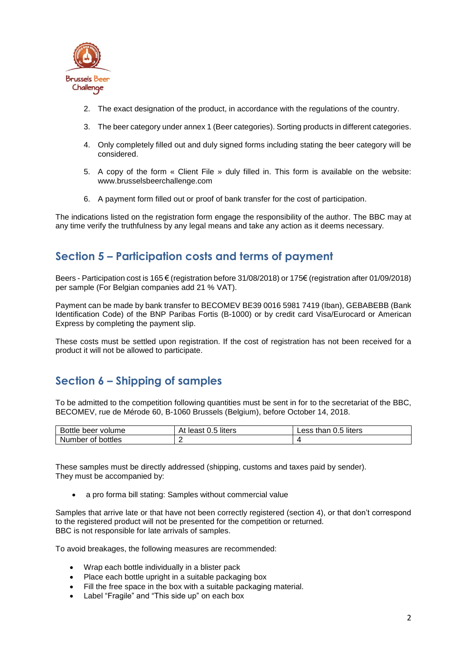

- 2. The exact designation of the product, in accordance with the regulations of the country.
- 3. The beer category under annex 1 (Beer categories). Sorting products in different categories.
- 4. Only completely filled out and duly signed forms including stating the beer category will be considered.
- 5. A copy of the form « Client File » duly filled in. This form is available on the website: www.brusselsbeerchallenge.com
- 6. A payment form filled out or proof of bank transfer for the cost of participation.

The indications listed on the registration form engage the responsibility of the author. The BBC may at any time verify the truthfulness by any legal means and take any action as it deems necessary.

# **Section 5 – Participation costs and terms of payment**

Beers - Participation cost is 165 € (registration before 31/08/2018) or 175€ (registration after 01/09/2018) per sample (For Belgian companies add 21 % VAT).

Payment can be made by bank transfer to BECOMEV BE39 0016 5981 7419 (Iban), GEBABEBB (Bank Identification Code) of the BNP Paribas Fortis (B-1000) or by credit card Visa/Eurocard or American Express by completing the payment slip.

These costs must be settled upon registration. If the cost of registration has not been received for a product it will not be allowed to participate.

# **Section 6 – Shipping of samples**

To be admitted to the competition following quantities must be sent in for to the secretariat of the BBC, BECOMEV, rue de Mérode 60, B-1060 Brussels (Belgium), before October 14, 2018.

| Bottle beer volume | least 0.5 liters<br>At | Less than 0.5 liters |
|--------------------|------------------------|----------------------|
| Number of bottles  |                        |                      |

These samples must be directly addressed (shipping, customs and taxes paid by sender). They must be accompanied by:

• a pro forma bill stating: Samples without commercial value

Samples that arrive late or that have not been correctly registered (section 4), or that don't correspond to the registered product will not be presented for the competition or returned. BBC is not responsible for late arrivals of samples.

To avoid breakages, the following measures are recommended:

- Wrap each bottle individually in a blister pack
- Place each bottle upright in a suitable packaging box
- Fill the free space in the box with a suitable packaging material.
- Label "Fragile" and "This side up" on each box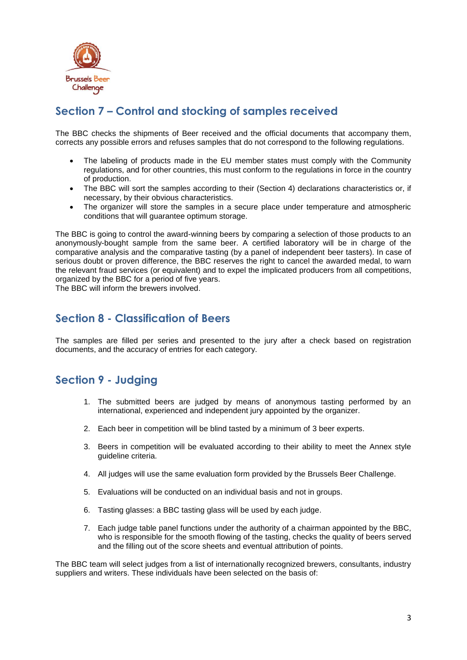

# **Section 7 – Control and stocking of samples received**

The BBC checks the shipments of Beer received and the official documents that accompany them, corrects any possible errors and refuses samples that do not correspond to the following regulations.

- The labeling of products made in the EU member states must comply with the Community regulations, and for other countries, this must conform to the regulations in force in the country of production.
- The BBC will sort the samples according to their (Section 4) declarations characteristics or, if necessary, by their obvious characteristics.
- The organizer will store the samples in a secure place under temperature and atmospheric conditions that will guarantee optimum storage.

The BBC is going to control the award-winning beers by comparing a selection of those products to an anonymously-bought sample from the same beer. A certified laboratory will be in charge of the comparative analysis and the comparative tasting (by a panel of independent beer tasters). In case of serious doubt or proven difference, the BBC reserves the right to cancel the awarded medal, to warn the relevant fraud services (or equivalent) and to expel the implicated producers from all competitions, organized by the BBC for a period of five years.

The BBC will inform the brewers involved.

### **Section 8 - Classification of Beers**

The samples are filled per series and presented to the jury after a check based on registration documents, and the accuracy of entries for each category.

# **Section 9 - Judging**

- 1. The submitted beers are judged by means of anonymous tasting performed by an international, experienced and independent jury appointed by the organizer.
- 2. Each beer in competition will be blind tasted by a minimum of 3 beer experts.
- 3. Beers in competition will be evaluated according to their ability to meet the Annex style guideline criteria.
- 4. All judges will use the same evaluation form provided by the Brussels Beer Challenge.
- 5. Evaluations will be conducted on an individual basis and not in groups.
- 6. Tasting glasses: a BBC tasting glass will be used by each judge.
- 7. Each judge table panel functions under the authority of a chairman appointed by the BBC, who is responsible for the smooth flowing of the tasting, checks the quality of beers served and the filling out of the score sheets and eventual attribution of points.

The BBC team will select judges from a list of internationally recognized brewers, consultants, industry suppliers and writers. These individuals have been selected on the basis of: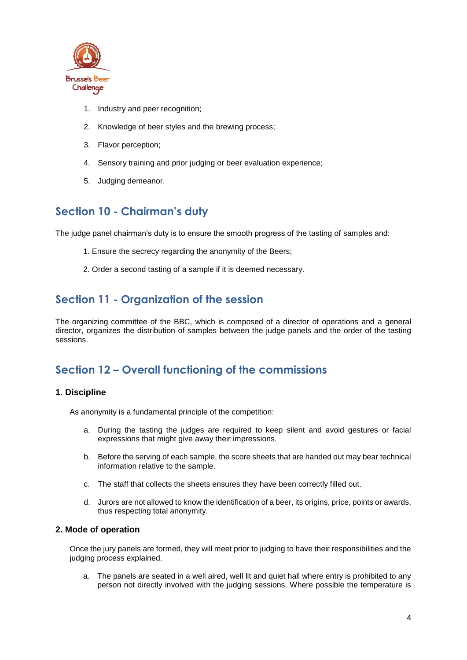

- 1. Industry and peer recognition;
- 2. Knowledge of beer styles and the brewing process;
- 3. Flavor perception;
- 4. Sensory training and prior judging or beer evaluation experience;
- 5. Judging demeanor.

# **Section 10 - Chairman's duty**

The judge panel chairman's duty is to ensure the smooth progress of the tasting of samples and:

- 1. Ensure the secrecy regarding the anonymity of the Beers;
- 2. Order a second tasting of a sample if it is deemed necessary.

# **Section 11 - Organization of the session**

The organizing committee of the BBC, which is composed of a director of operations and a general director, organizes the distribution of samples between the judge panels and the order of the tasting sessions.

# **Section 12 – Overall functioning of the commissions**

#### **1. Discipline**

As anonymity is a fundamental principle of the competition:

- a. During the tasting the judges are required to keep silent and avoid gestures or facial expressions that might give away their impressions.
- b. Before the serving of each sample, the score sheets that are handed out may bear technical information relative to the sample.
- c. The staff that collects the sheets ensures they have been correctly filled out.
- d. Jurors are not allowed to know the identification of a beer, its origins, price, points or awards, thus respecting total anonymity.

#### **2. Mode of operation**

Once the jury panels are formed, they will meet prior to judging to have their responsibilities and the judging process explained.

a. The panels are seated in a well aired, well lit and quiet hall where entry is prohibited to any person not directly involved with the judging sessions. Where possible the temperature is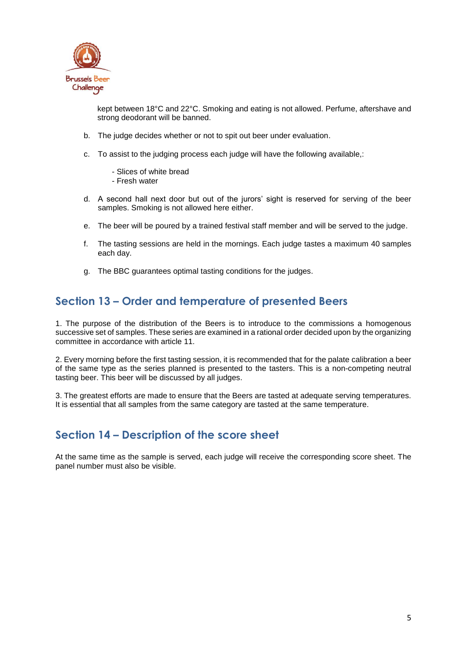

kept between 18°C and 22°C. Smoking and eating is not allowed. Perfume, aftershave and strong deodorant will be banned.

- b. The judge decides whether or not to spit out beer under evaluation.
- c. To assist to the judging process each judge will have the following available,:
	- Slices of white bread
	- Fresh water
- d. A second hall next door but out of the jurors' sight is reserved for serving of the beer samples. Smoking is not allowed here either.
- e. The beer will be poured by a trained festival staff member and will be served to the judge.
- f. The tasting sessions are held in the mornings. Each judge tastes a maximum 40 samples each day.
- g. The BBC guarantees optimal tasting conditions for the judges.

# **Section 13 – Order and temperature of presented Beers**

1. The purpose of the distribution of the Beers is to introduce to the commissions a homogenous successive set of samples. These series are examined in a rational order decided upon by the organizing committee in accordance with article 11.

2. Every morning before the first tasting session, it is recommended that for the palate calibration a beer of the same type as the series planned is presented to the tasters. This is a non-competing neutral tasting beer. This beer will be discussed by all judges.

3. The greatest efforts are made to ensure that the Beers are tasted at adequate serving temperatures. It is essential that all samples from the same category are tasted at the same temperature.

# **Section 14 – Description of the score sheet**

At the same time as the sample is served, each judge will receive the corresponding score sheet. The panel number must also be visible.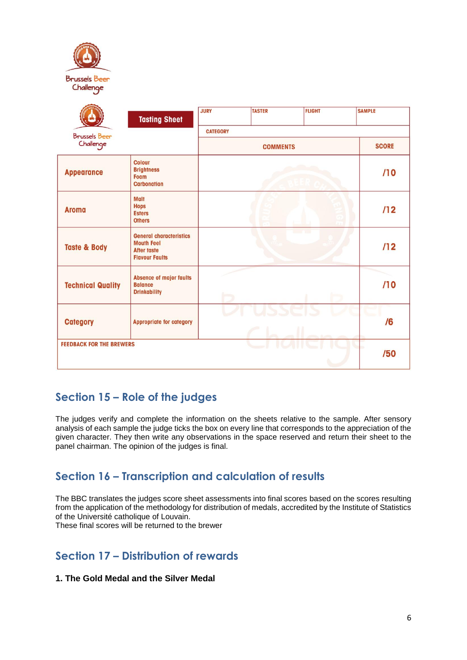| $\left\langle \epsilon \right\rangle$<br><b>Brussels Beer</b><br>Challenge |                                                                                                    |                 |               |                 |               |
|----------------------------------------------------------------------------|----------------------------------------------------------------------------------------------------|-----------------|---------------|-----------------|---------------|
|                                                                            | <b>Tasting Sheet</b>                                                                               | <b>JURY</b>     | <b>TASTER</b> | <b>FLIGHT</b>   | <b>SAMPLE</b> |
| <b>Brussels Beer</b>                                                       |                                                                                                    | <b>CATEGORY</b> |               |                 |               |
| Challenge                                                                  |                                                                                                    | <b>COMMENTS</b> |               |                 | <b>SCORE</b>  |
| <b>Appearance</b>                                                          | <b>Colour</b><br><b>Brightness</b><br><b>Foam</b><br><b>Carbonation</b>                            |                 |               |                 | /10           |
| <b>Aroma</b>                                                               | <b>Malt</b><br><b>Hops</b><br><b>Esters</b><br><b>Others</b>                                       |                 |               |                 | /12           |
| <b>Taste &amp; Body</b>                                                    | <b>General characteristics</b><br><b>Mouth Feel</b><br><b>After taste</b><br><b>Flavour Faults</b> |                 |               | <b>Contract</b> | /12           |
| <b>Technical Quality</b>                                                   | <b>Absence of major faults</b><br><b>Balance</b><br><b>Drinkability</b>                            |                 |               |                 | /10           |
| <b>Category</b>                                                            | <b>Appropriate for category</b>                                                                    |                 |               |                 | /6            |
| <b>FEEDBACK FOR THE BREWERS</b>                                            |                                                                                                    |                 |               |                 | /50           |

# **Section 15 – Role of the judges**

The judges verify and complete the information on the sheets relative to the sample. After sensory analysis of each sample the judge ticks the box on every line that corresponds to the appreciation of the given character. They then write any observations in the space reserved and return their sheet to the panel chairman. The opinion of the judges is final.

# **Section 16 – Transcription and calculation of results**

The BBC translates the judges score sheet assessments into final scores based on the scores resulting from the application of the methodology for distribution of medals, accredited by the Institute of Statistics of the Université catholique of Louvain.

These final scores will be returned to the brewer

# **Section 17 – Distribution of rewards**

#### **1. The Gold Medal and the Silver Medal**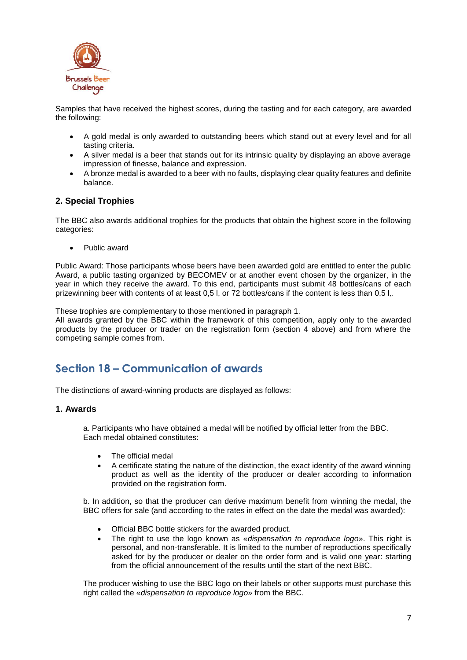

Samples that have received the highest scores, during the tasting and for each category, are awarded the following:

- A gold medal is only awarded to outstanding beers which stand out at every level and for all tasting criteria.
- A silver medal is a beer that stands out for its intrinsic quality by displaying an above average impression of finesse, balance and expression.
- A bronze medal is awarded to a beer with no faults, displaying clear quality features and definite balance.

#### **2. Special Trophies**

The BBC also awards additional trophies for the products that obtain the highest score in the following categories:

• Public award

Public Award: Those participants whose beers have been awarded gold are entitled to enter the public Award, a public tasting organized by BECOMEV or at another event chosen by the organizer, in the year in which they receive the award. To this end, participants must submit 48 bottles/cans of each prizewinning beer with contents of at least 0,5 l, or 72 bottles/cans if the content is less than 0,5 l,.

These trophies are complementary to those mentioned in paragraph 1.

All awards granted by the BBC within the framework of this competition, apply only to the awarded products by the producer or trader on the registration form (section 4 above) and from where the competing sample comes from.

# **Section 18 – Communication of awards**

The distinctions of award-winning products are displayed as follows:

#### **1. Awards**

a. Participants who have obtained a medal will be notified by official letter from the BBC. Each medal obtained constitutes:

- The official medal
- A certificate stating the nature of the distinction, the exact identity of the award winning product as well as the identity of the producer or dealer according to information provided on the registration form.

b. In addition, so that the producer can derive maximum benefit from winning the medal, the BBC offers for sale (and according to the rates in effect on the date the medal was awarded):

- Official BBC bottle stickers for the awarded product.
- The right to use the logo known as «*dispensation to reproduce logo*». This right is personal, and non-transferable. It is limited to the number of reproductions specifically asked for by the producer or dealer on the order form and is valid one year: starting from the official announcement of the results until the start of the next BBC.

The producer wishing to use the BBC logo on their labels or other supports must purchase this right called the «*dispensation to reproduce logo*» from the BBC.